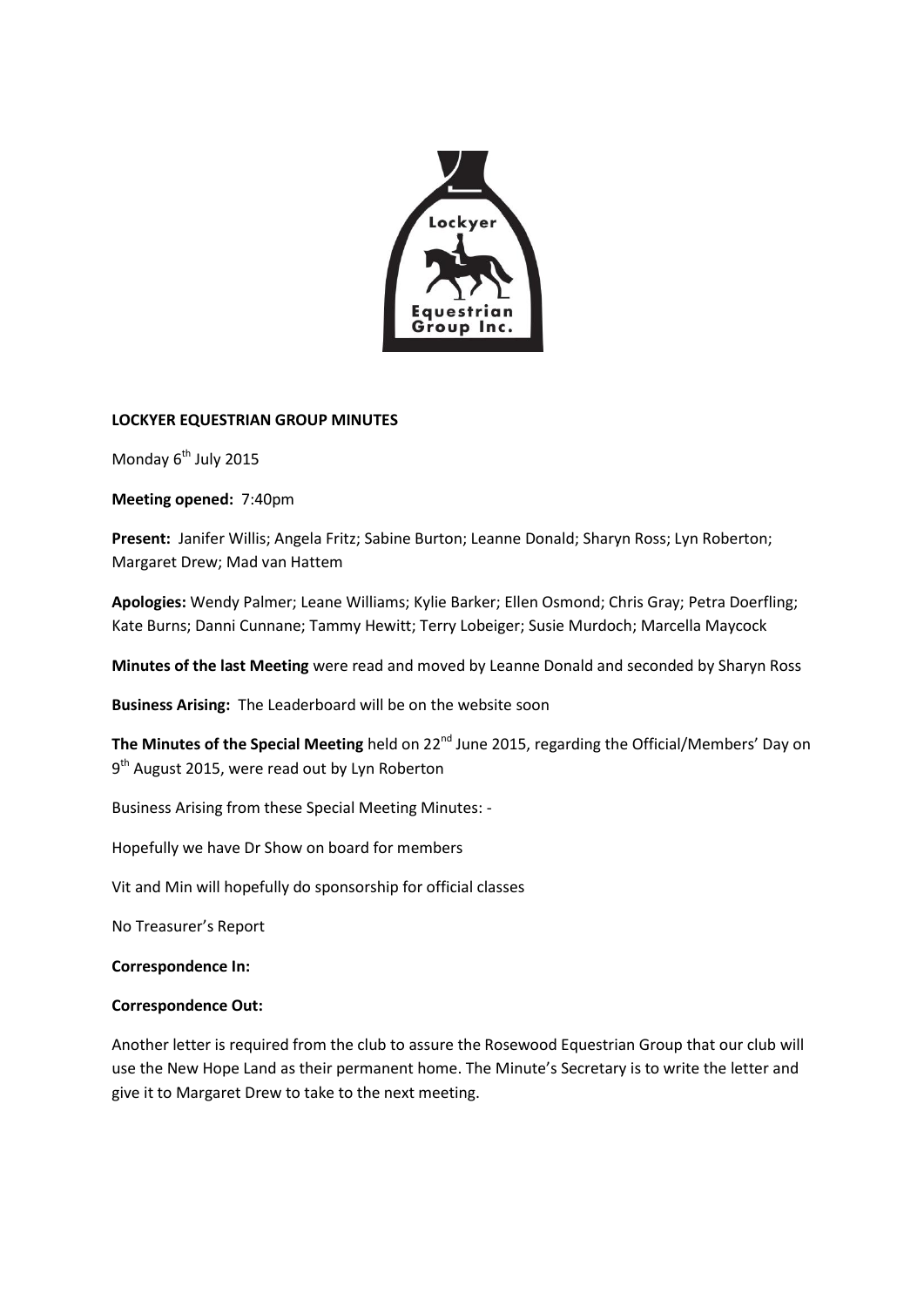

### **LOCKYER EQUESTRIAN GROUP MINUTES**

Monday 6<sup>th</sup> July 2015

**Meeting opened:** 7:40pm

**Present:** Janifer Willis; Angela Fritz; Sabine Burton; Leanne Donald; Sharyn Ross; Lyn Roberton; Margaret Drew; Mad van Hattem

**Apologies:** Wendy Palmer; Leane Williams; Kylie Barker; Ellen Osmond; Chris Gray; Petra Doerfling; Kate Burns; Danni Cunnane; Tammy Hewitt; Terry Lobeiger; Susie Murdoch; Marcella Maycock

**Minutes of the last Meeting** were read and moved by Leanne Donald and seconded by Sharyn Ross

**Business Arising:** The Leaderboard will be on the website soon

**The Minutes of the Special Meeting** held on 22<sup>nd</sup> June 2015, regarding the Official/Members' Day on 9<sup>th</sup> August 2015, were read out by Lyn Roberton

Business Arising from these Special Meeting Minutes: -

Hopefully we have Dr Show on board for members

Vit and Min will hopefully do sponsorship for official classes

No Treasurer's Report

**Correspondence In:**

### **Correspondence Out:**

Another letter is required from the club to assure the Rosewood Equestrian Group that our club will use the New Hope Land as their permanent home. The Minute's Secretary is to write the letter and give it to Margaret Drew to take to the next meeting.